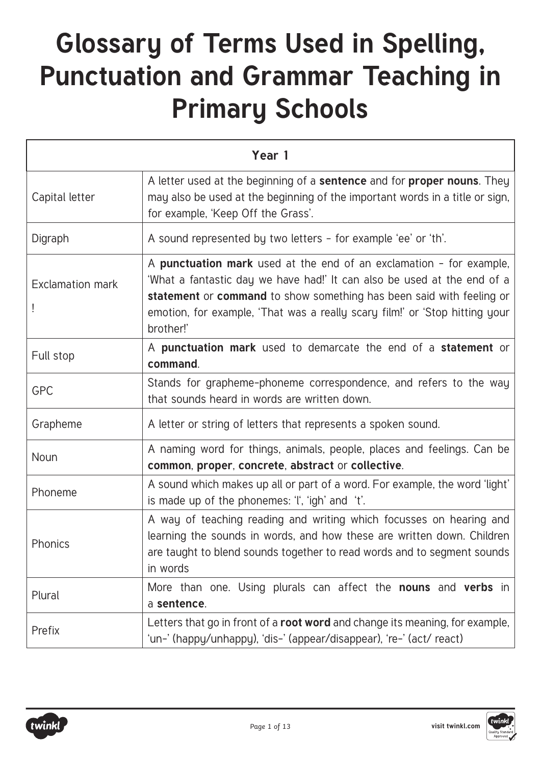## **Glossary of Terms Used in Spelling, Punctuation and Grammar Teaching in Primary Schools**

| Year 1                  |                                                                                                                                                                                                                                                                                                                    |
|-------------------------|--------------------------------------------------------------------------------------------------------------------------------------------------------------------------------------------------------------------------------------------------------------------------------------------------------------------|
| Capital letter          | A letter used at the beginning of a <b>sentence</b> and for <b>proper nouns</b> . They<br>may also be used at the beginning of the important words in a title or sign,<br>for example, 'Keep Off the Grass'.                                                                                                       |
| Digraph                 | A sound represented by two letters - for example 'ee' or 'th'.                                                                                                                                                                                                                                                     |
| <b>Exclamation mark</b> | A punctuation mark used at the end of an exclamation - for example,<br>'What a fantastic day we have had!' It can also be used at the end of a<br>statement or command to show something has been said with feeling or<br>emotion, for example, 'That was a really scary film!' or 'Stop hitting your<br>brother!' |
| Full stop               | A punctuation mark used to demarcate the end of a statement or<br>command.                                                                                                                                                                                                                                         |
| <b>GPC</b>              | Stands for grapheme-phoneme correspondence, and refers to the way<br>that sounds heard in words are written down.                                                                                                                                                                                                  |
| Grapheme                | A letter or string of letters that represents a spoken sound.                                                                                                                                                                                                                                                      |
| Noun                    | A naming word for things, animals, people, places and feelings. Can be<br>common, proper, concrete, abstract or collective.                                                                                                                                                                                        |
| Phoneme                 | A sound which makes up all or part of a word. For example, the word 'light'<br>is made up of the phonemes: 'I', 'igh' and 't'.                                                                                                                                                                                     |
| Phonics                 | A way of teaching reading and writing which focusses on hearing and<br>learning the sounds in words, and how these are written down. Children<br>are taught to blend sounds together to read words and to segment sounds<br>in words                                                                               |
| Plural                  | More than one. Using plurals can affect the <b>nouns</b> and <b>verbs</b> in<br>a sentence.                                                                                                                                                                                                                        |
| Prefix                  | Letters that go in front of a root word and change its meaning, for example,<br>'un-' (happy/unhappy), 'dis-' (appear/disappear), 're-' (act/ react)                                                                                                                                                               |

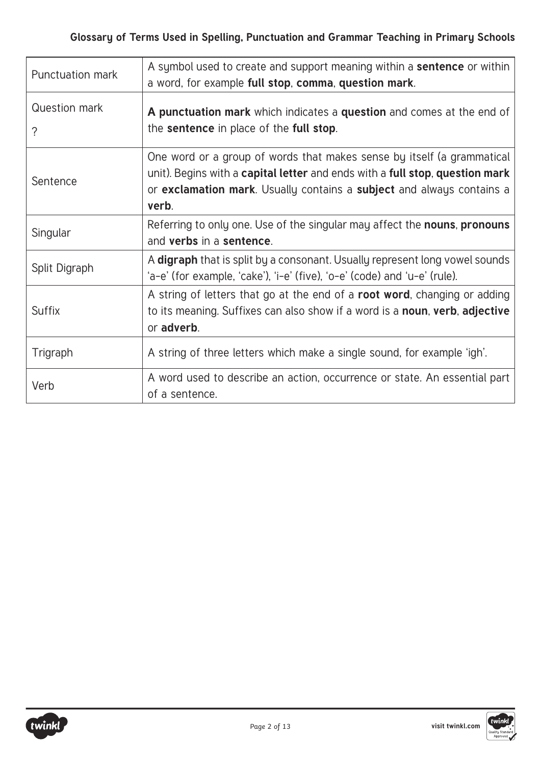| Punctuation mark   | A symbol used to create and support meaning within a sentence or within<br>a word, for example full stop, comma, question mark.                                                                                                          |
|--------------------|------------------------------------------------------------------------------------------------------------------------------------------------------------------------------------------------------------------------------------------|
| Question mark<br>? | A punctuation mark which indicates a question and comes at the end of<br>the sentence in place of the full stop.                                                                                                                         |
| Sentence           | One word or a group of words that makes sense by itself (a grammatical<br>unit). Begins with a capital letter and ends with a full stop, question mark<br>or exclamation mark. Usually contains a subject and always contains a<br>verb. |
| Singular           | Referring to only one. Use of the singular may affect the <b>nouns</b> , <b>pronouns</b><br>and verbs in a sentence.                                                                                                                     |
| Split Digraph      | A digraph that is split by a consonant. Usually represent long vowel sounds<br>'a-e' (for example, 'cake'), 'i-e' (five), 'o-e' (code) and 'u-e' (rule).                                                                                 |
| <b>Suffix</b>      | A string of letters that go at the end of a <b>root word</b> , changing or adding<br>to its meaning. Suffixes can also show if a word is a <b>noun, verb, adjective</b><br>or adverb.                                                    |
| Trigraph           | A string of three letters which make a single sound, for example 'igh'.                                                                                                                                                                  |
| Verb               | A word used to describe an action, occurrence or state. An essential part<br>of a sentence.                                                                                                                                              |

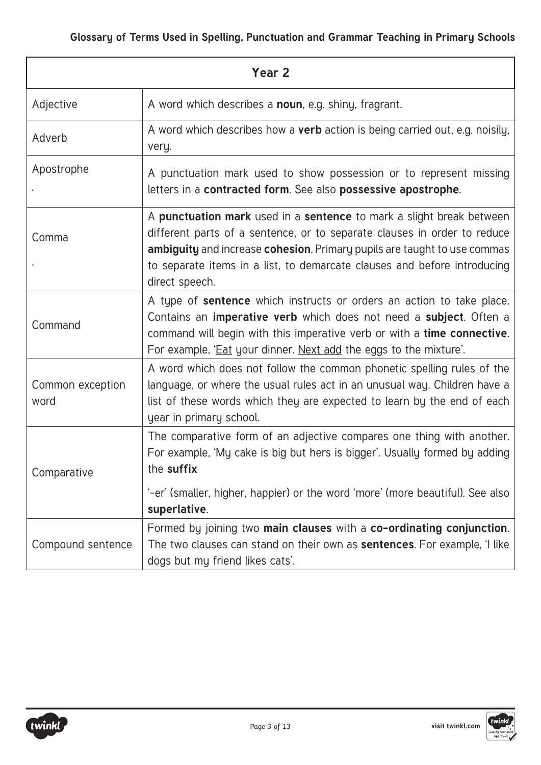| Year <sub>2</sub>        |                                                                                                                                                                                                                                                                                                                            |
|--------------------------|----------------------------------------------------------------------------------------------------------------------------------------------------------------------------------------------------------------------------------------------------------------------------------------------------------------------------|
| Adjective                | A word which describes a noun, e.g. shiny, fragrant.                                                                                                                                                                                                                                                                       |
| Adverb                   | A word which describes how a <b>verb</b> action is being carried out, e.g. noisily,<br>very.                                                                                                                                                                                                                               |
| Apostrophe               | A punctuation mark used to show possession or to represent missing<br>letters in a contracted form. See also possessive apostrophe.                                                                                                                                                                                        |
| Comma                    | A punctuation mark used in a sentence to mark a slight break between<br>different parts of a sentence, or to separate clauses in order to reduce<br>ambiguity and increase cohesion. Primary pupils are taught to use commas<br>to separate items in a list, to demarcate clauses and before introducing<br>direct speech. |
| Command                  | A type of <b>sentence</b> which instructs or orders an action to take place.<br>Contains an <b>imperative verb</b> which does not need a <b>subject</b> . Often a<br>command will begin with this imperative verb or with a time connective.<br>For example, 'Eat your dinner. Next add the eggs to the mixture'.          |
| Common exception<br>word | A word which does not follow the common phonetic spelling rules of the<br>language, or where the usual rules act in an unusual way. Children have a<br>list of these words which they are expected to learn by the end of each<br>year in primary school.                                                                  |
| Comparative              | The comparative form of an adjective compares one thing with another.<br>For example, 'My cake is big but hers is bigger'. Usually formed by adding<br>the suffix                                                                                                                                                          |
|                          | '-er' (smaller, higher, happier) or the word 'more' (more beautiful). See also<br>superlative.                                                                                                                                                                                                                             |
| Compound sentence        | Formed by joining two main clauses with a co-ordinating conjunction.<br>The two clauses can stand on their own as <b>sentences</b> . For example, 'I like<br>dogs but my friend likes cats'.                                                                                                                               |

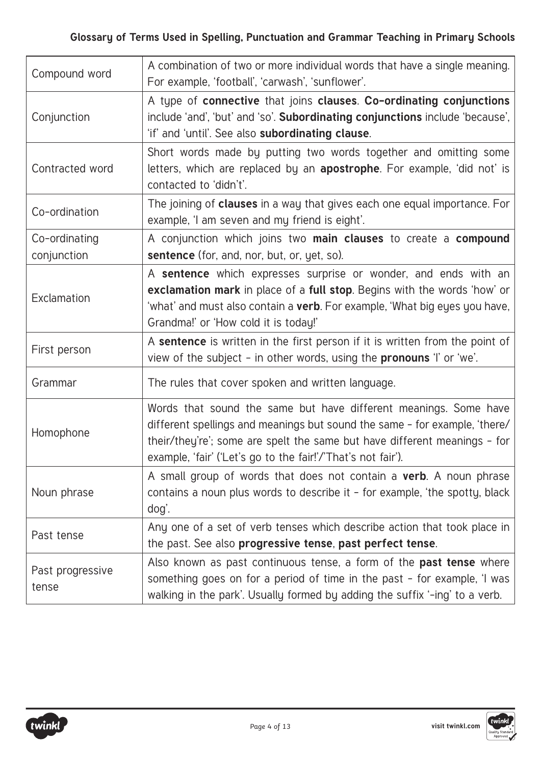| Compound word                | A combination of two or more individual words that have a single meaning.<br>For example, 'football', 'carwash', 'sunflower'.                                                                                                                                                               |
|------------------------------|---------------------------------------------------------------------------------------------------------------------------------------------------------------------------------------------------------------------------------------------------------------------------------------------|
| Conjunction                  | A type of connective that joins clauses. Co-ordinating conjunctions<br>include 'and', 'but' and 'so'. Subordinating conjunctions include 'because',<br>'if' and 'until'. See also subordinating clause.                                                                                     |
| Contracted word              | Short words made by putting two words together and omitting some<br>letters, which are replaced by an <b>apostrophe</b> . For example, 'did not' is<br>contacted to 'didn't'.                                                                                                               |
| Co-ordination                | The joining of <b>clauses</b> in a way that gives each one equal importance. For<br>example, 'I am seven and my friend is eight'.                                                                                                                                                           |
| Co-ordinating<br>conjunction | A conjunction which joins two main clauses to create a compound<br><b>sentence</b> (for, and, nor, but, or, yet, so).                                                                                                                                                                       |
| Exclamation                  | A sentence which expresses surprise or wonder, and ends with an<br>exclamation mark in place of a full stop. Begins with the words 'how' or<br>'what' and must also contain a verb. For example, 'What big eyes you have,<br>Grandma!' or 'How cold it is today!'                           |
| First person                 | A sentence is written in the first person if it is written from the point of<br>view of the subject - in other words, using the <b>pronouns</b> 'I' or 'we'.                                                                                                                                |
| Grammar                      | The rules that cover spoken and written language.                                                                                                                                                                                                                                           |
| Homophone                    | Words that sound the same but have different meanings. Some have<br>different spellings and meanings but sound the same - for example, 'there/<br>their/they're'; some are spelt the same but have different meanings - for<br>example, 'fair' ('Let's go to the fair!'/'That's not fair'). |
| Noun phrase                  | A small group of words that does not contain a <b>verb</b> . A noun phrase<br>contains a noun plus words to describe it - for example, 'the spotty, black<br>dog'.                                                                                                                          |
| Past tense                   | Any one of a set of verb tenses which describe action that took place in<br>the past. See also progressive tense, past perfect tense.                                                                                                                                                       |
| Past progressive<br>tense    | Also known as past continuous tense, a form of the <b>past tense</b> where<br>something goes on for a period of time in the past - for example, 'I was<br>walking in the park'. Usually formed by adding the suffix '-ing' to a verb.                                                       |

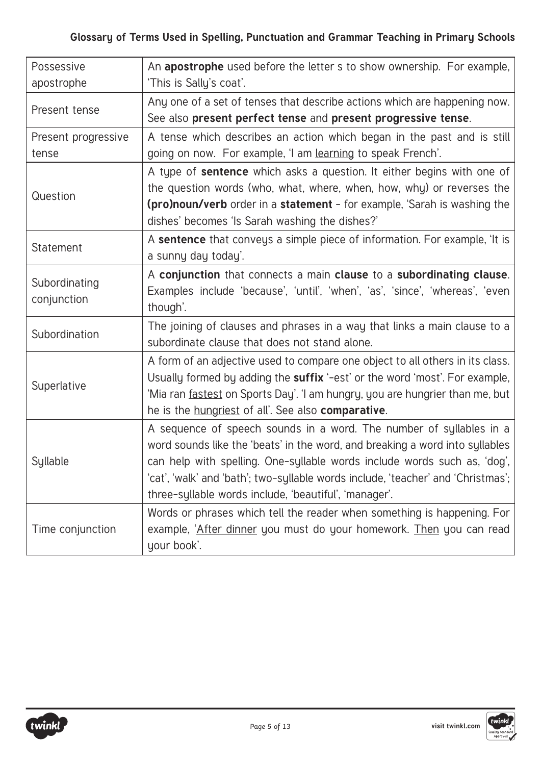## **Glossary of Terms Used in Spelling, Punctuation and Grammar Teaching in Primary Schools**

| Possessive                   | An apostrophe used before the letter s to show ownership. For example,                                                                                                                                                                                                                                                                                                         |
|------------------------------|--------------------------------------------------------------------------------------------------------------------------------------------------------------------------------------------------------------------------------------------------------------------------------------------------------------------------------------------------------------------------------|
| apostrophe                   | 'This is Sally's coat'.                                                                                                                                                                                                                                                                                                                                                        |
| Present tense                | Any one of a set of tenses that describe actions which are happening now.<br>See also present perfect tense and present progressive tense.                                                                                                                                                                                                                                     |
| Present progressive          | A tense which describes an action which began in the past and is still                                                                                                                                                                                                                                                                                                         |
| tense                        | going on now. For example, 'I am learning to speak French'.                                                                                                                                                                                                                                                                                                                    |
| Question                     | A type of <b>sentence</b> which asks a question. It either begins with one of<br>the question words (who, what, where, when, how, why) or reverses the<br><b>(pro)noun/verb</b> order in a <b>statement</b> - for example, 'Sarah is washing the<br>dishes' becomes 'Is Sarah washing the dishes?'                                                                             |
| Statement                    | A sentence that conveys a simple piece of information. For example, 'It is<br>a sunny day today'.                                                                                                                                                                                                                                                                              |
| Subordinating<br>conjunction | A conjunction that connects a main clause to a subordinating clause.<br>Examples include 'because', 'until', 'when', 'as', 'since', 'whereas', 'even<br>though'.                                                                                                                                                                                                               |
| Subordination                | The joining of clauses and phrases in a way that links a main clause to a<br>subordinate clause that does not stand alone.                                                                                                                                                                                                                                                     |
| Superlative                  | A form of an adjective used to compare one object to all others in its class.<br>Usually formed by adding the suffix '-est' or the word 'most'. For example,<br>'Mia ran fastest on Sports Day'. 'I am hungry, you are hungrier than me, but<br>he is the hungriest of all'. See also comparative.                                                                             |
| Syllable                     | A sequence of speech sounds in a word. The number of syllables in a<br>word sounds like the 'beats' in the word, and breaking a word into syllables<br>can help with spelling. One-syllable words include words such as, 'dog',<br>'cat', 'walk' and 'bath'; two-syllable words include, 'teacher' and 'Christmas';  <br>three-syllable words include, 'beautiful', 'manager'. |
| Time conjunction             | Words or phrases which tell the reader when something is happening. For<br>example, 'After dinner you must do your homework. Then you can read<br>your book'.                                                                                                                                                                                                                  |

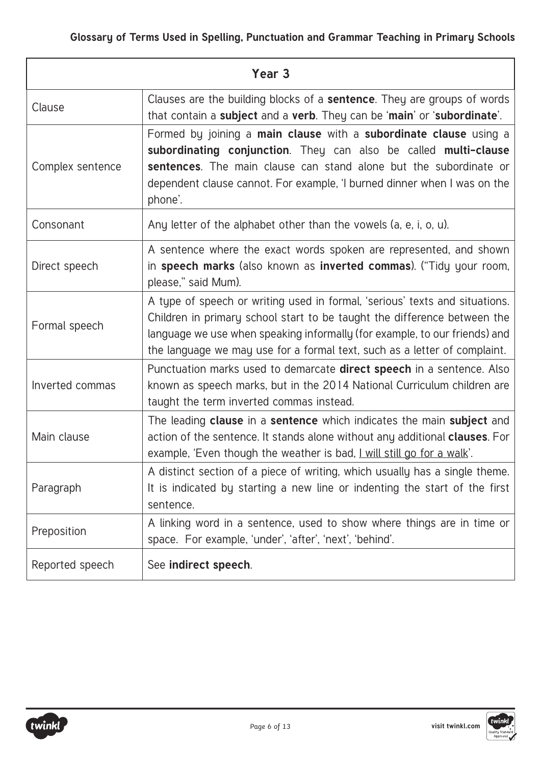| Year <sub>3</sub> |                                                                                                                                                                                                                                                                                                                    |
|-------------------|--------------------------------------------------------------------------------------------------------------------------------------------------------------------------------------------------------------------------------------------------------------------------------------------------------------------|
| Clause            | Clauses are the building blocks of a <b>sentence</b> . They are groups of words<br>that contain a subject and a verb. They can be 'main' or 'subordinate'.                                                                                                                                                         |
| Complex sentence  | Formed by joining a main clause with a subordinate clause using a<br>subordinating conjunction. They can also be called multi-clause<br>sentences. The main clause can stand alone but the subordinate or<br>dependent clause cannot. For example, 'I burned dinner when I was on the<br>phone'.                   |
| Consonant         | Any letter of the alphabet other than the vowels (a, e, i, o, u).                                                                                                                                                                                                                                                  |
| Direct speech     | A sentence where the exact words spoken are represented, and shown<br>in speech marks (also known as inverted commas). ("Tidy your room,<br>please," said Mum).                                                                                                                                                    |
| Formal speech     | A type of speech or writing used in formal, 'serious' texts and situations.<br>Children in primary school start to be taught the difference between the<br>language we use when speaking informally (for example, to our friends) and<br>the language we may use for a formal text, such as a letter of complaint. |
| Inverted commas   | Punctuation marks used to demarcate <b>direct speech</b> in a sentence. Also<br>known as speech marks, but in the 2014 National Curriculum children are<br>taught the term inverted commas instead.                                                                                                                |
| Main clause       | The leading clause in a sentence which indicates the main subject and<br>action of the sentence. It stands alone without any additional <b>clauses</b> . For<br>example, 'Even though the weather is bad, I will still go for a walk'.                                                                             |
| Paragraph         | A distinct section of a piece of writing, which usually has a single theme.<br>It is indicated by starting a new line or indenting the start of the first<br>sentence.                                                                                                                                             |
| Preposition       | A linking word in a sentence, used to show where things are in time or<br>space. For example, 'under', 'after', 'next', 'behind'.                                                                                                                                                                                  |
| Reported speech   | See indirect speech.                                                                                                                                                                                                                                                                                               |

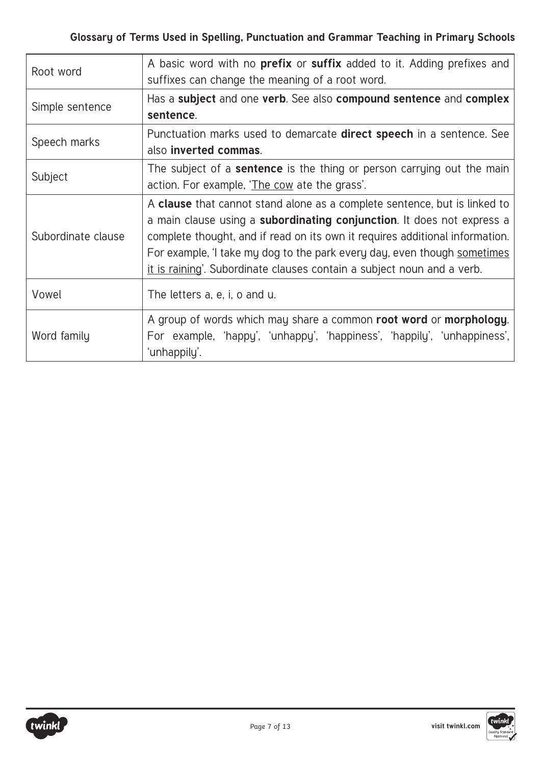| Root word          | A basic word with no <b>prefix</b> or <b>suffix</b> added to it. Adding prefixes and<br>suffixes can change the meaning of a root word.                                                                                                                                                                                                                                                                  |
|--------------------|----------------------------------------------------------------------------------------------------------------------------------------------------------------------------------------------------------------------------------------------------------------------------------------------------------------------------------------------------------------------------------------------------------|
| Simple sentence    | Has a subject and one verb. See also compound sentence and complex<br>sentence.                                                                                                                                                                                                                                                                                                                          |
| Speech marks       | Punctuation marks used to demarcate <b>direct speech</b> in a sentence. See<br>also inverted commas.                                                                                                                                                                                                                                                                                                     |
| Subject            | The subject of a <b>sentence</b> is the thing or person carrying out the main<br>action. For example, 'The cow ate the grass'.                                                                                                                                                                                                                                                                           |
| Subordinate clause | A clause that cannot stand alone as a complete sentence, but is linked to<br>a main clause using a <b>subordinating conjunction</b> . It does not express a<br>complete thought, and if read on its own it requires additional information.<br>For example, I take my dog to the park every day, even though sometimes<br><u>it is raining'</u> . Subordinate clauses contain a subject noun and a verb. |
| Vowel              | The letters a, e, i, o and u.                                                                                                                                                                                                                                                                                                                                                                            |
| Word family        | A group of words which may share a common root word or morphology.<br>For example, 'happy', 'unhappy', 'happiness', 'happily', 'unhappiness',<br>'unhappily'.                                                                                                                                                                                                                                            |

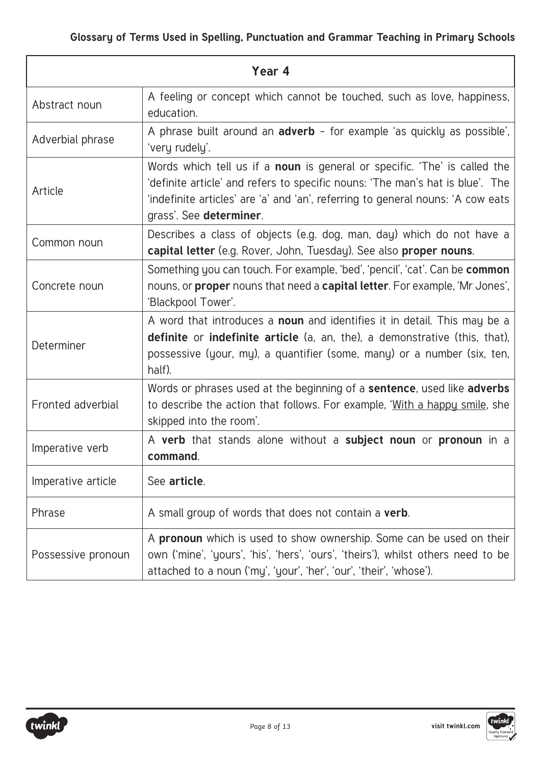| Year 4             |                                                                                                                                                                                                                                                                          |
|--------------------|--------------------------------------------------------------------------------------------------------------------------------------------------------------------------------------------------------------------------------------------------------------------------|
| Abstract noun      | A feeling or concept which cannot be touched, such as love, happiness,<br>education.                                                                                                                                                                                     |
| Adverbial phrase   | A phrase built around an <b>adverb</b> - for example 'as quickly as possible',<br>'very rudely'.                                                                                                                                                                         |
| Article            | Words which tell us if a noun is general or specific. 'The' is called the<br>'definite article' and refers to specific nouns: 'The man's hat is blue'. The<br>'indefinite articles' are 'a' and 'an', referring to general nouns: 'A cow eats<br>grass'. See determiner. |
| Common noun        | Describes a class of objects (e.g. dog, man, day) which do not have a<br>capital letter (e.g. Rover, John, Tuesday). See also proper nouns.                                                                                                                              |
| Concrete noun      | Something you can touch. For example, 'bed', 'pencil', 'cat'. Can be <b>common</b><br>nouns, or <b>proper</b> nouns that need a <b>capital letter</b> . For example, 'Mr Jones',<br>'Blackpool Tower'.                                                                   |
| Determiner         | A word that introduces a <b>noun</b> and identifies it in detail. This may be a<br><b>definite</b> or <b>indefinite article</b> (a, an, the), a demonstrative (this, that),<br>possessive (your, my), a quantifier (some, many) or a number (six, ten,<br>half).         |
| Fronted adverbial  | Words or phrases used at the beginning of a <b>sentence</b> , used like <b>adverbs</b><br>to describe the action that follows. For example, 'With a happy smile, she<br>skipped into the room'.                                                                          |
| Imperative verb    | A verb that stands alone without a subject noun or pronoun in a<br>command.                                                                                                                                                                                              |
| Imperative article | See article.                                                                                                                                                                                                                                                             |
| Phrase             | A small group of words that does not contain a verb.                                                                                                                                                                                                                     |
| Possessive pronoun | A <b>pronoun</b> which is used to show ownership. Some can be used on their<br>own ('mine', 'yours', 'his', 'hers', 'ours', 'theirs'), whilst others need to be<br>attached to a noun ('my', 'your', 'her', 'our', 'their', 'whose').                                    |

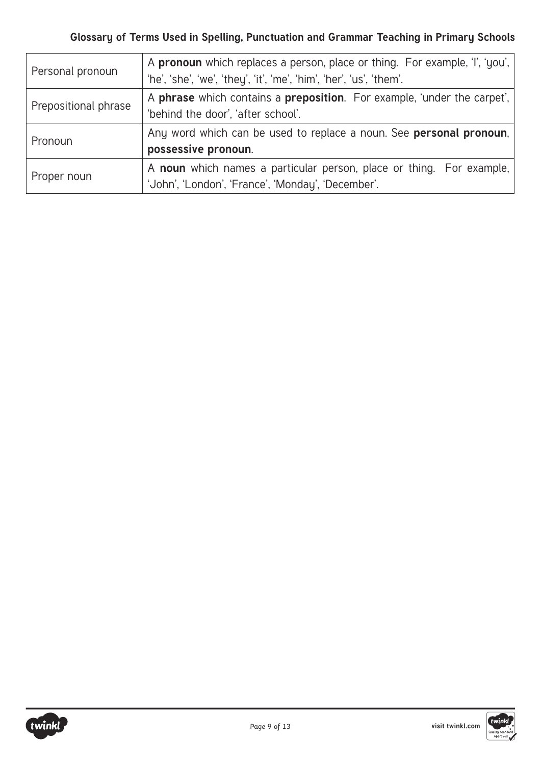| Personal pronoun     | A pronoun which replaces a person, place or thing. For example, 'I', 'you',<br>'he', 'she', 'we', 'they', 'it', 'me', 'him', 'her', 'us', 'them'. |
|----------------------|---------------------------------------------------------------------------------------------------------------------------------------------------|
| Prepositional phrase | A phrase which contains a preposition. For example, 'under the carpet',<br>'behind the door', 'after school'.                                     |
| Pronoun              | Any word which can be used to replace a noun. See <b>personal pronoun</b> ,<br>possessive pronoun.                                                |
| Proper noun          | A noun which names a particular person, place or thing. For example,<br>'John', 'London', 'France', 'Monday', 'December'.                         |

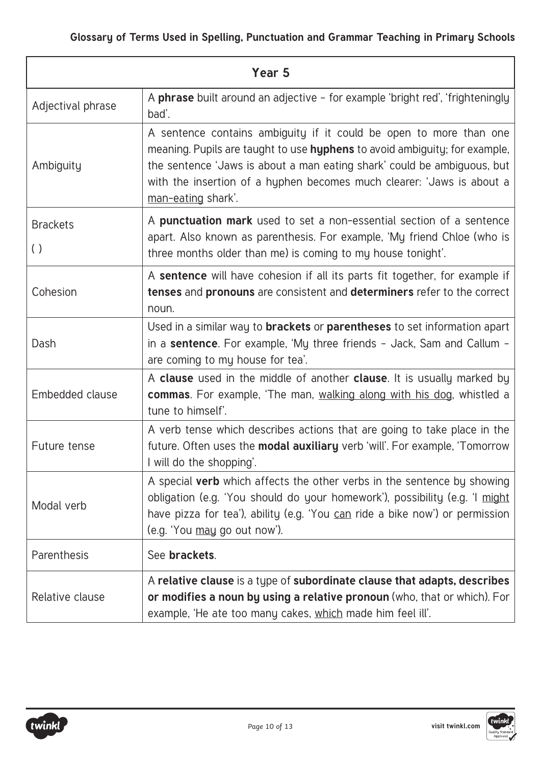| Year <sub>5</sub>                     |                                                                                                                                                                                                                                                                                                                            |
|---------------------------------------|----------------------------------------------------------------------------------------------------------------------------------------------------------------------------------------------------------------------------------------------------------------------------------------------------------------------------|
| Adjectival phrase                     | A phrase built around an adjective - for example 'bright red', 'frighteningly<br>bad'.                                                                                                                                                                                                                                     |
| Ambiguity                             | A sentence contains ambiguity if it could be open to more than one<br>meaning. Pupils are taught to use hyphens to avoid ambiguity; for example,<br>the sentence 'Jaws is about a man eating shark' could be ambiguous, but<br>with the insertion of a hyphen becomes much clearer: 'Jaws is about a<br>man-eating shark'. |
| <b>Brackets</b><br>$\left( \ \right)$ | A punctuation mark used to set a non-essential section of a sentence<br>apart. Also known as parenthesis. For example, 'My friend Chloe (who is<br>three months older than me) is coming to my house tonight'.                                                                                                             |
| Cohesion                              | A sentence will have cohesion if all its parts fit together, for example if<br>tenses and pronouns are consistent and determiners refer to the correct<br>noun.                                                                                                                                                            |
| Dash                                  | Used in a similar way to <b>brackets</b> or <b>parentheses</b> to set information apart<br>in a <b>sentence</b> . For example, 'My three friends - Jack, Sam and Callum -<br>are coming to my house for tea'.                                                                                                              |
| Embedded clause                       | A clause used in the middle of another clause. It is usually marked by<br><b>commas.</b> For example, 'The man, walking along with his dog, whistled a<br>tune to himself'.                                                                                                                                                |
| Future tense                          | A verb tense which describes actions that are going to take place in the<br>future. Often uses the <b>modal auxiliary</b> verb 'will'. For example, 'Tomorrow<br>I will do the shopping'.                                                                                                                                  |
| Modal verb                            | A special verb which affects the other verbs in the sentence by showing<br>obligation (e.g. 'You should do your homework'), possibility (e.g. 'I might<br>have pizza for tea'), ability (e.g. 'You can ride a bike now') or permission<br>(e.g. 'You may go out now').                                                     |
| Parenthesis                           | See brackets.                                                                                                                                                                                                                                                                                                              |
| Relative clause                       | A relative clause is a type of subordinate clause that adapts, describes<br>or modifies a noun by using a relative pronoun (who, that or which). For<br>example, 'He ate too many cakes, which made him feel ill'.                                                                                                         |

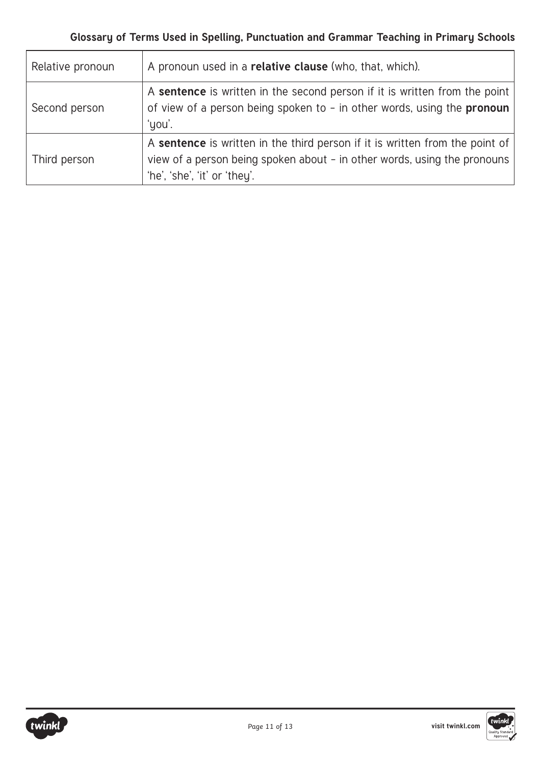| Relative pronoun | A pronoun used in a <b>relative clause</b> (who, that, which).                                                                                                                           |
|------------------|------------------------------------------------------------------------------------------------------------------------------------------------------------------------------------------|
| Second person    | A sentence is written in the second person if it is written from the point<br>of view of a person being spoken to - in other words, using the pronoun<br>'you'.                          |
| Third person     | A sentence is written in the third person if it is written from the point of<br>view of a person being spoken about - in other words, using the pronouns<br>'he', 'she', 'it' or 'they'. |



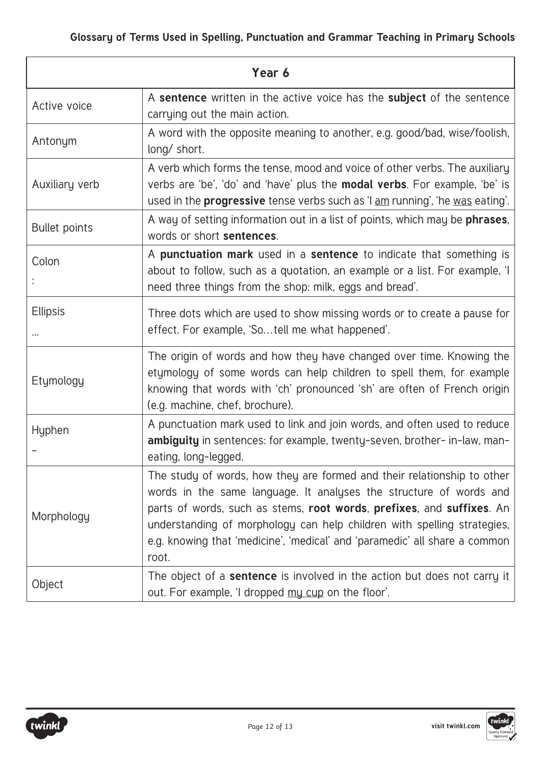| Year 6                      |                                                                                                                                                                                                                                                                                                                                                                                          |
|-----------------------------|------------------------------------------------------------------------------------------------------------------------------------------------------------------------------------------------------------------------------------------------------------------------------------------------------------------------------------------------------------------------------------------|
| Active voice                | A sentence written in the active voice has the subject of the sentence<br>carrying out the main action.                                                                                                                                                                                                                                                                                  |
| Antonym                     | A word with the opposite meaning to another, e.g. good/bad, wise/foolish,<br>long/ short.                                                                                                                                                                                                                                                                                                |
| Auxiliary verb              | A verb which forms the tense, mood and voice of other verbs. The auxiliary<br>verbs are 'be', 'do' and 'have' plus the <b>modal verbs</b> . For example, 'be' is<br>used in the <b>progressive</b> tense verbs such as 'I am running', 'he was eating'.                                                                                                                                  |
| <b>Bullet points</b>        | A way of setting information out in a list of points, which may be phrases,<br>words or short sentences.                                                                                                                                                                                                                                                                                 |
| Colon                       | A punctuation mark used in a sentence to indicate that something is<br>about to follow, such as a quotation, an example or a list. For example, 'I<br>need three things from the shop: milk, eggs and bread'.                                                                                                                                                                            |
| <b>Ellipsis</b><br>$\cdots$ | Three dots which are used to show missing words or to create a pause for<br>effect. For example, 'Sotell me what happened'.                                                                                                                                                                                                                                                              |
| Etymology                   | The origin of words and how they have changed over time. Knowing the<br>etymology of some words can help children to spell them, for example<br>knowing that words with 'ch' pronounced 'sh' are often of French origin<br>(e.g. machine, chef, brochure).                                                                                                                               |
| Hyphen                      | A punctuation mark used to link and join words, and often used to reduce<br>ambiguity in sentences: for example, twenty-seven, brother- in-law, man-<br>eating, long-legged.                                                                                                                                                                                                             |
| Morphology                  | The study of words, how they are formed and their relationship to other<br>words in the same language. It analyses the structure of words and<br>parts of words, such as stems, root words, prefixes, and suffixes. An<br>understanding of morphology can help children with spelling strategies,<br>e.g. knowing that 'medicine', 'medical' and 'paramedic' all share a common<br>root. |
| Object                      | The object of a sentence is involved in the action but does not carry it<br>out. For example, 'I dropped my cup on the floor'.                                                                                                                                                                                                                                                           |